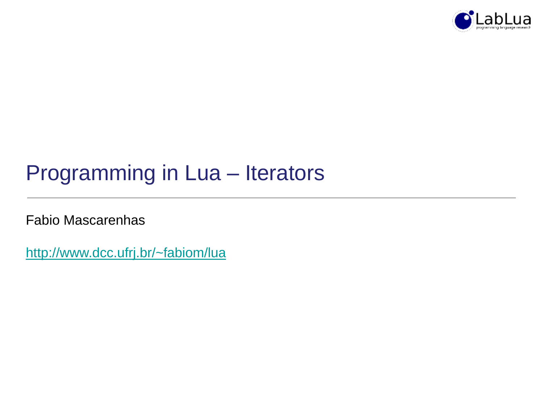

# Programming in Lua – Iterators

Fabio Mascarenhas

<http://www.dcc.ufrj.br/~fabiom/lua>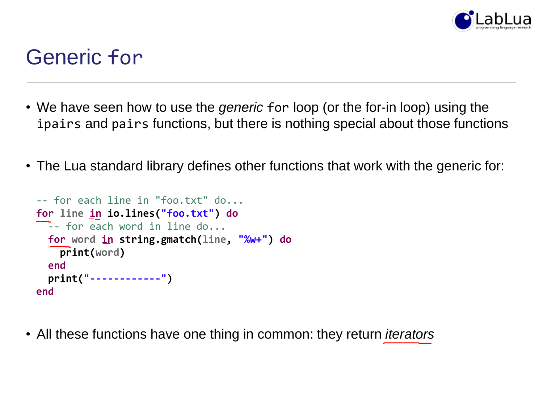

### Generic for

- We have seen how to use the *generic* for loop (or the for-in loop) using the ipairs and pairs functions, but there is nothing special about those functions
- The Lua standard library defines other functions that work with the generic for:

```
-- for each line in "foo.txt" do...
for line in io.lines("foo.txt") do
\overline{\phantom{a}} -- for each word in line do...
  for word in string.gmatch(line, "%w+") do
    print(word)
  end
  print("------------")
end
```
• All these functions have one thing in common: they return *iterators*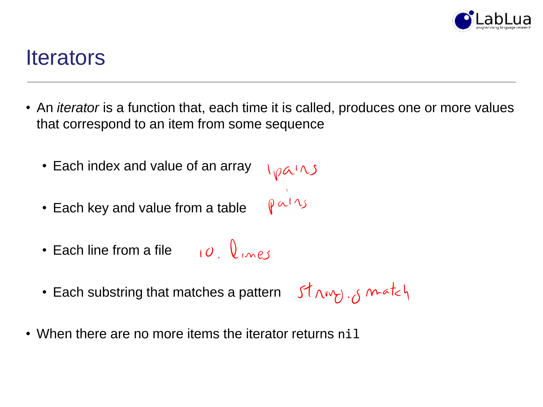

#### **Iterators**

- An *iterator* is a function that, each time it is called, produces one or more values that correspond to an item from some sequence
	- Each index and value of an array Ipains<br>pairs
	- Each key and value from a table
	- $10 \text{ V}$ • Each line from a file
	- Each substring that matches a pattern  $\int \int \sqrt{v} \, \sqrt{v} \, dz$
- When there are no more items the iterator returns nil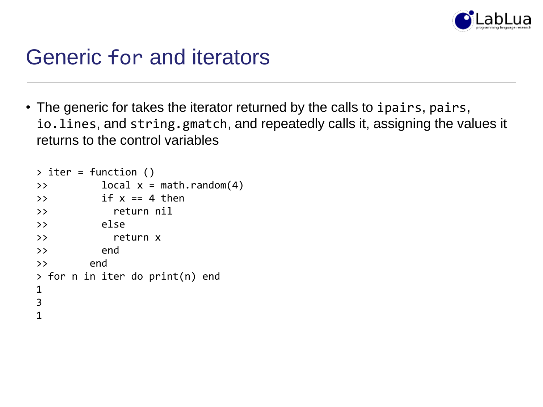

### Generic for and iterators

• The generic for takes the iterator returned by the calls to ipairs, pairs, io.lines, and string.gmatch, and repeatedly calls it, assigning the values it returns to the control variables

```
\rightarrow iter = function ()
\Rightarrow local x = \text{math.} \text{random}(4)\Rightarrow if x == 4 then
>> return nil
>> else
>> return x
>> end
>> end
> for n in iter do print(n) end
1
3
1
```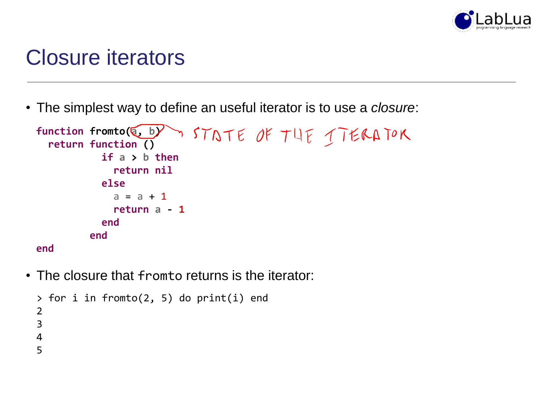

### Closure iterators

• The simplest way to define an useful iterator is to use a *closure*:

```
T STATE OF THE TTERATOR
function fromto(a, b)
 return function ()
          if a > b then
           return nil
          else
           a = a + 1return a - 1
          end
        end
end
```
• The closure that fromto returns is the iterator:

```
> for i in fromto(2, 5) do print(i) end
2
3
4
5
```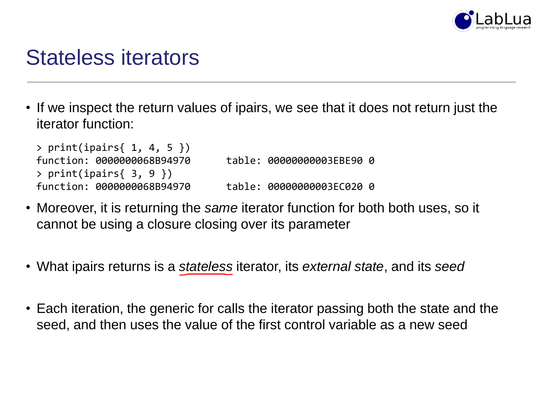

### Stateless iterators

• If we inspect the return values of ipairs, we see that it does not return just the iterator function:

```
> print(ipairs{ 1, 4, 5 })
function: 0000000068B94970 table: 00000000003EBE90 0
> print(ipairs{ 3, 9 })
function: 0000000068B94970 table: 00000000003EC020 0
```
- Moreover, it is returning the *same* iterator function for both both uses, so it cannot be using a closure closing over its parameter
- What ipairs returns is a *stateless* iterator, its *external state*, and its *seed*
- Each iteration, the generic for calls the iterator passing both the state and the seed, and then uses the value of the first control variable as a new seed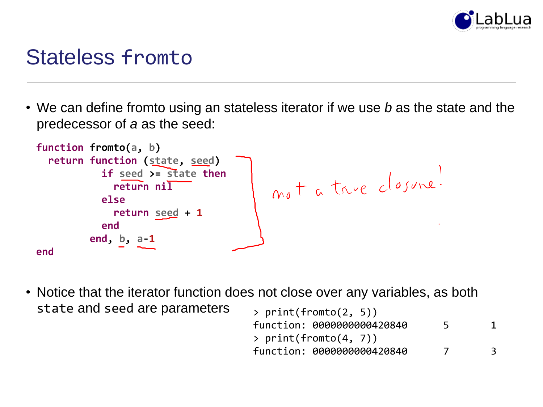

### Stateless fromto

• We can define fromto using an stateless iterator if we use *b* as the state and the predecessor of *a* as the seed:



• Notice that the iterator function does not close over any variables, as both state and seed are parameters

| > print(fromto(2, 5))      |                |   |
|----------------------------|----------------|---|
| function: 0000000000420840 | 5              |   |
| > $print(fromto(4, 7))$    |                |   |
| function: 0000000000420840 | $\overline{7}$ | 3 |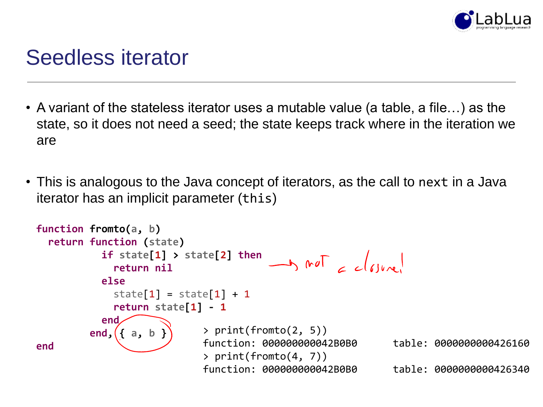

### Seedless iterator

- A variant of the stateless iterator uses a mutable value (a table, a file…) as the state, so it does not need a seed; the state keeps track where in the iteration we are
- This is analogous to the Java concept of iterators, as the call to next in a Java iterator has an implicit parameter (this)

```
function fromto(a, b)
  return function (state)
           if state[1] > state[2] then
                                        \rightarrow not _{c} _{c}|_{c|}return nil
           else
             state[1] = state[1] + 1return state[1] - 1
           end
                            > print(fromto(2, 5))
         end, { a, b }
                            function: 000000000042B0B0 table: 0000000000426160
end
                            > print(fromto(4, 7))
                            function: 000000000042B0B0 table: 0000000000426340
```